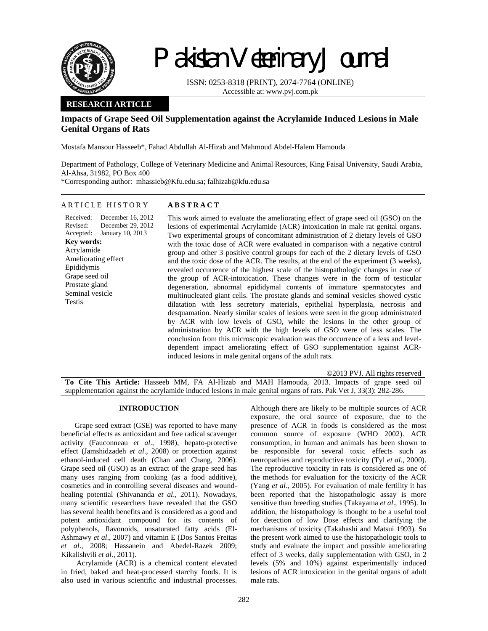

Received: Revised: Accepted:

**Key words:**  Acrylamide Ameliorating effect Epididymis Grape seed oil Prostate gland Seminal vesicle

Testis

# Pakistan Veterinary Journal

ISSN: 0253-8318 (PRINT), 2074-7764 (ONLINE) Accessible at: www.pvj.com.pk

## **RESEARCH ARTICLE**

## **Impacts of Grape Seed Oil Supplementation against the Acrylamide Induced Lesions in Male Genital Organs of Rats**

Mostafa Mansour Hasseeb\*, Fahad Abdullah Al-Hizab and Mahmoud Abdel-Halem Hamouda

Department of Pathology, College of Veterinary Medicine and Animal Resources, King Faisal University, Saudi Arabia, Al-Ahsa, 31982, PO Box 400

\*Corresponding author: mhassieb@Kfu.edu.sa; falhizab@kfu.edu.sa

#### ARTICLE HISTORY **ABSTRACT**

December 16, 2012 December 29, 2012 January 10, 2013 This work aimed to evaluate the ameliorating effect of grape seed oil (GSO) on the lesions of experimental Acrylamide (ACR) intoxication in male rat genital organs. Two experimental groups of concomitant administration of 2 dietary levels of GSO with the toxic dose of ACR were evaluated in comparison with a negative control group and other 3 positive control groups for each of the 2 dietary levels of GSO and the toxic dose of the ACR. The results, at the end of the experiment (3 weeks), revealed occurrence of the highest scale of the histopathologic changes in case of the group of ACR-intoxication. These changes were in the form of testicular degeneration, abnormal epididymal contents of immature spermatocytes and multinucleated giant cells. The prostate glands and seminal vesicles showed cystic dilatation with less secretory materials, epithelial hyperplasia, necrosis and desquamation. Nearly similar scales of lesions were seen in the group administrated by ACR with low levels of GSO, while the lesions in the other group of administration by ACR with the high levels of GSO were of less scales. The conclusion from this microscopic evaluation was the occurrence of a less and leveldependent impact ameliorating effect of GSO supplementation against ACRinduced lesions in male genital organs of the adult rats.

©2013 PVJ. All rights reserved **To Cite This Article:** Hasseeb MM, FA Al-Hizab and MAH Hamouda, 2013. Impacts of grape seed oil supplementation against the acrylamide induced lesions in male genital organs of rats. Pak Vet J, 33(3): 282-286.

#### **INTRODUCTION**

Grape seed extract (GSE) was reported to have many beneficial effects as antioxidant and free radical scavenger activity (Fauconneau *et al*., 1998), hepato-protective effect (Jamshidzadeh *et al*., 2008) or protection against ethanol-induced cell death (Chan and Chang, 2006). Grape seed oil (GSO) as an extract of the grape seed has many uses ranging from cooking (as a food additive), cosmetics and in controlling several diseases and woundhealing potential (Shivananda *et al*., 2011). Nowadays, many scientific researchers have revealed that the GSO has several health benefits and is considered as a good and potent antioxidant compound for its contents of polyphenols, flavonoids, unsaturated fatty acids (El-Ashmawy *et al*., 2007) and vitamin E (Dos Santos Freitas *et al*., 2008; Hassanein and Abedel-Razek 2009; Kikalishvili *et al*., 2011).

 Acrylamide (ACR) is a chemical content elevated in fried, baked and heat-processed starchy foods. It is also used in various scientific and industrial processes.

Although there are likely to be multiple sources of ACR exposure, the oral source of exposure, due to the presence of ACR in foods is considered as the most common source of exposure (WHO 2002). ACR consumption, in human and animals has been shown to be responsible for several toxic effects such as neuropathies and reproductive toxicity (Tyl *et al*., 2000). The reproductive toxicity in rats is considered as one of the methods for evaluation for the toxicity of the ACR (Yang *et al*., 2005). For evaluation of male fertility it has been reported that the histopathologic assay is more sensitive than breeding studies (Takayama *et al*., 1995). In addition, the histopathology is thought to be a useful tool for detection of low Dose effects and clarifying the mechanisms of toxicity (Takahashi and Matsui 1993). So the present work aimed to use the histopathologic tools to study and evaluate the impact and possible ameliorating effect of 3 weeks, daily supplementation with GSO, in 2 levels (5% and 10%) against experimentally induced lesions of ACR intoxication in the genital organs of adult male rats.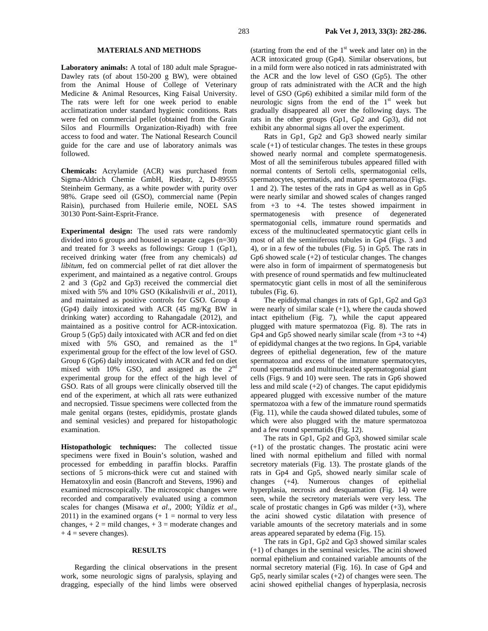#### **MATERIALS AND METHODS**

**Laboratory animals:** A total of 180 adult male Sprague-Dawley rats (of about 150-200 g BW), were obtained from the Animal House of College of Veterinary Medicine & Animal Resources, King Faisal University. The rats were left for one week period to enable acclimatization under standard hygienic conditions. Rats were fed on commercial pellet (obtained from the Grain Silos and Flourmills Organization-Riyadh) with free access to food and water. The National Research Council guide for the care and use of laboratory animals was followed.

**Chemicals:** Acrylamide (ACR) was purchased from Sigma-Aldrich Chemie GmbH, Riedstr, 2, D-89555 Steinheim Germany, as a white powder with purity over 98%. Grape seed oil (GSO), commercial name (Pepin Raisin), purchased from Huilerie emile, NOEL SAS 30130 Pont-Saint-Esprit-France.

**Experimental design:** The used rats were randomly divided into 6 groups and housed in separate cages (n=30) and treated for 3 weeks as followings: Group 1 (Gp1), received drinking water (free from any chemicals) *ad libitum*, fed on commercial pellet of rat diet allover the experiment, and maintained as a negative control. Groups 2 and 3 (Gp2 and Gp3) received the commercial diet mixed with 5% and 10% GSO (Kikalishvili *et al*., 2011), and maintained as positive controls for GSO. Group 4 (Gp4) daily intoxicated with ACR (45 mg/Kg BW in drinking water) according to Rahangadale (2012), and maintained as a positive control for ACR-intoxication. Group 5 (Gp5) daily intoxicated with ACR and fed on diet mixed with 5% GSO, and remained as the  $1<sup>st</sup>$ experimental group for the effect of the low level of GSO. Group 6 (Gp6) daily intoxicated with ACR and fed on diet mixed with 10% GSO, and assigned as the 2<sup>nd</sup> experimental group for the effect of the high level of GSO. Rats of all groups were clinically observed till the end of the experiment, at which all rats were euthanized and necropsied. Tissue specimens were collected from the male genital organs (testes, epididymis, prostate glands and seminal vesicles) and prepared for histopathologic examination.

**Histopathologic techniques:** The collected tissue specimens were fixed in Bouin's solution, washed and processed for embedding in paraffin blocks. Paraffin sections of 5 microns-thick were cut and stained with Hematoxylin and eosin (Bancroft and Stevens, 1996) and examined microscopically. The microscopic changes were recorded and comparatively evaluated using a common scales for changes (Misawa *et al*., 2000; Yíldíz *et al*., 2011) in the examined organs  $(+ 1 =$  normal to very less changes,  $+ 2 =$  mild changes,  $+ 3 =$  moderate changes and  $+ 4$  = severe changes).

#### **RESULTS**

Regarding the clinical observations in the present work, some neurologic signs of paralysis, splaying and dragging, especially of the hind limbs were observed (starting from the end of the  $1<sup>st</sup>$  week and later on) in the ACR intoxicated group (Gp4). Similar observations, but in a mild form were also noticed in rats administrated with the ACR and the low level of GSO (Gp5). The other group of rats administrated with the ACR and the high level of GSO (Gp6) exhibited a similar mild form of the neurologic signs from the end of the  $1<sup>st</sup>$  week but gradually disappeared all over the following days. The rats in the other groups (Gp1, Gp2 and Gp3), did not exhibit any abnormal signs all over the experiment.

Rats in Gp1, Gp2 and Gp3 showed nearly similar scale  $(+1)$  of testicular changes. The testes in these groups showed nearly normal and complete spermatogenesis. Most of all the seminiferous tubules appeared filled with normal contents of Sertoli cells, spermatogonial cells, spermatocytes, spermatids, and mature spermatozoa (Figs. 1 and 2). The testes of the rats in Gp4 as well as in Gp5 were nearly similar and showed scales of changes ranged from +3 to +4. The testes showed impairment in spermatogenesis with presence of degenerated spermatogonial cells, immature round spermatids and excess of the multinucleated spermatocytic giant cells in most of all the seminiferous tubules in Gp4 (Figs. 3 and 4), or in a few of the tubules (Fig. 5) in Gp5. The rats in Gp6 showed scale (+2) of testicular changes. The changes were also in form of impairment of spermatogenesis but with presence of round spermatids and few multinucleated spermatocytic giant cells in most of all the seminiferous tubules (Fig. 6).

The epididymal changes in rats of Gp1, Gp2 and Gp3 were nearly of similar scale  $(+1)$ , where the cauda showed intact epithelium (Fig. 7), while the caput appeared plugged with mature spermatozoa (Fig. 8). The rats in Gp4 and Gp5 showed nearly similar scale (from  $+3$  to  $+4$ ) of epididymal changes at the two regions. In Gp4, variable degrees of epithelial degeneration, few of the mature spermatozoa and excess of the immature spermatocytes, round spermatids and multinucleated spermatogonial giant cells (Figs. 9 and 10) were seen. The rats in Gp6 showed less and mild scale (+2) of changes. The caput epididymis appeared plugged with excessive number of the mature spermatozoa with a few of the immature round spermatids (Fig. 11), while the cauda showed dilated tubules, some of which were also plugged with the mature spermatozoa and a few round spermatids (Fig. 12).

The rats in Gp1, Gp2 and Gp3, showed similar scale (+1) of the prostatic changes. The prostatic acini were lined with normal epithelium and filled with normal secretory materials (Fig. 13). The prostate glands of the rats in Gp4 and Gp5, showed nearly similar scale of changes (+4). Numerous changes of epithelial hyperplasia, necrosis and desquamation (Fig. 14) were seen, while the secretory materials were very less. The scale of prostatic changes in Gp6 was milder  $(+3)$ , where the acini showed cystic dilatation with presence of variable amounts of the secretory materials and in some areas appeared separated by edema (Fig. 15).

The rats in Gp1, Gp2 and Gp3 showed similar scales (+1) of changes in the seminal vesicles. The acini showed normal epithelium and contained variable amounts of the normal secretory material (Fig. 16). In case of Gp4 and Gp5, nearly similar scales  $(+2)$  of changes were seen. The acini showed epithelial changes of hyperplasia, necrosis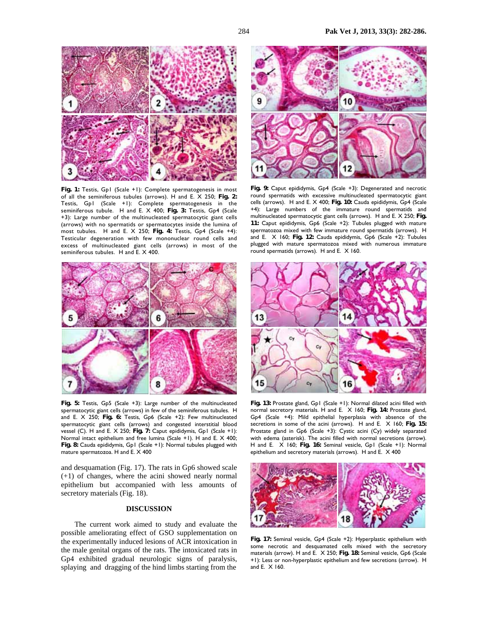

**Fig. 1:** Testis, Gp1 (Scale +1): Complete spermatogenesis in most of all the seminiferous tubules (arrows). H and E. X 250; **Fig. 2:** Testis, Gp1 (Scale +1): Complete spermatogenesis in the seminiferous tubule. H and E. X 400; **Fig. 3:** Testis, Gp4 (Scale +3): Large number of the multinucleated spermatocytic giant cells (arrows) with no spermatids or spermatocytes inside the lumina of most tubules. H and E. X 250; **Fig. 4:** Testis, Gp4 (Scale +4): Testicular degeneration with few mononuclear round cells and excess of multinucleated giant cells (arrows) in most of the seminiferous tubules. H and E. X 400.



**Fig. 5:** Testis, Gp5 (Scale +3): Large number of the multinucleated spermatocytic giant cells (arrows) in few of the seminiferous tubules. H and E. X 250; **Fig. 6:** Testis, Gp6 (Scale +2): Few multinucleated spermatocytic giant cells (arrows) and congested interstitial blood vessel (C). H and E. X 250; **Fig. 7:** Caput epididymis, Gp1 (Scale +1): Normal intact epithelium and free lumina (Scale +1). H and E. X 400; **Fig. 8:** Cauda epididymis, Gp1 (Scale +1): Normal tubules plugged with mature spermatozoa. H and E. X 400

and desquamation (Fig. 17). The rats in Gp6 showed scale (+1) of changes, where the acini showed nearly normal epithelium but accompanied with less amounts of secretory materials (Fig. 18).

### **DISCUSSION**

The current work aimed to study and evaluate the possible ameliorating effect of GSO supplementation on the experimentally induced lesions of ACR intoxication in the male genital organs of the rats. The intoxicated rats in Gp4 exhibited gradual neurologic signs of paralysis, splaying and dragging of the hind limbs starting from the



**Fig. 9:** Caput epididymis, Gp4 (Scale +3): Degenerated and necrotic round spermatids with excessive multinucleated spermatocytic giant cells (arrows). H and E. X 400; **Fig. 10:** Cauda epididymis, Gp4 (Scale +4): Large numbers of the immature round spermatids and multinucleated spermatocytic giant cells (arrows). H and E. X 250; **Fig. 11:** Caput epididymis, Gp6 (Scale +2): Tubules plugged with mature spermatozoa mixed with few immature round spermatids (arrows). H and E. X 160; **Fig. 12:** Cauda epididymis, Gp6 (Scale +2): Tubules plugged with mature spermatozoa mixed with numerous immature round spermatids (arrows). H and E. X 160.



**Fig. 13:** Prostate gland, Gp1 (Scale +1): Normal dilated acini filled with normal secretory materials. H and E. X 160; **Fig. 14:** Prostate gland, Gp4 (Scale +4): Mild epithelial hyperplasia with absence of the secretions in some of the acini (arrows). H and E. X 160; **Fig. 15:** Prostate gland in Gp6 (Scale +3): Cystic acini (Cy) widely separated with edema (asterisk). The acini filled with normal secretions (arrow). H and E. X 160; **Fig. 16:** Seminal vesicle, Gp1 (Scale +1): Normal epithelium and secretory materials (arrows). H and E. X 400



**Fig. 17:** Seminal vesicle, Gp4 (Scale +2): Hyperplastic epithelium with some necrotic and desquamated cells mixed with the secretory materials (arrow). H and E. X 250; **Fig. 18:** Seminal vesicle, Gp6 (Scale +1): Less or non-hyperplastic epithelium and few secretions (arrow). H and E. X 160.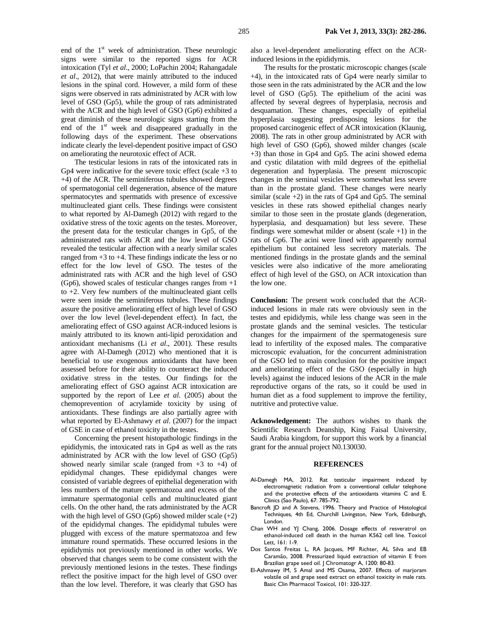end of the  $1<sup>st</sup>$  week of administration. These neurologic signs were similar to the reported signs for ACR intoxication (Tyl *et al*., 2000; LoPachin 2004; Rahangadale *et al*., 2012), that were mainly attributed to the induced lesions in the spinal cord. However, a mild form of these signs were observed in rats administrated by ACR with low level of GSO (Gp5), while the group of rats administrated with the ACR and the high level of GSO (Gp6) exhibited a great diminish of these neurologic signs starting from the end of the  $1<sup>st</sup>$  week and disappeared gradually in the following days of the experiment. These observations indicate clearly the level-dependent positive impact of GSO on ameliorating the neurotoxic effect of ACR.

The testicular lesions in rats of the intoxicated rats in Gp4 were indicative for the severe toxic effect (scale +3 to +4) of the ACR. The seminiferous tubules showed degrees of spermatogonial cell degeneration, absence of the mature spermatocytes and spermatids with presence of excessive multinucleated giant cells. These findings were consistent to what reported by Al-Damegh (2012) with regard to the oxidative stress of the toxic agents on the testes. Moreover, the present data for the testicular changes in Gp5, of the administrated rats with ACR and the low level of GSO revealed the testicular affection with a nearly similar scales ranged from +3 to +4. These findings indicate the less or no effect for the low level of GSO. The testes of the administrated rats with ACR and the high level of GSO  $(Gp6)$ , showed scales of testicular changes ranges from  $+1$ to +2. Very few numbers of the multinucleated giant cells were seen inside the seminiferous tubules. These findings assure the positive ameliorating effect of high level of GSO over the low level (level-dependent effect). In fact, the ameliorating effect of GSO against ACR-induced lesions is mainly attributed to its known anti-lipid peroxidation and antioxidant mechanisms (Li *et al*., 2001). These results agree with Al-Damegh (2012) who mentioned that it is beneficial to use exogenous antioxidants that have been assessed before for their ability to counteract the induced oxidative stress in the testes. Our findings for the ameliorating effect of GSO against ACR intoxication are supported by the report of Lee *et al*. (2005) about the chemoprevention of acrylamide toxicity by using of antioxidants. These findings are also partially agree with what reported by El-Ashmawy *et al*. (2007) for the impact of GSE in case of ethanol toxicity in the testes.

Concerning the present histopathologic findings in the epididymis, the intoxicated rats in Gp4 as well as the rats administrated by ACR with the low level of GSO (Gp5) showed nearly similar scale (ranged from  $+3$  to  $+4$ ) of epididymal changes. These epididymal changes were consisted of variable degrees of epithelial degeneration with less numbers of the mature spermatozoa and excess of the immature spermatogonial cells and multinucleated giant cells. On the other hand, the rats administrated by the ACR with the high level of GSO (Gp6) showed milder scale  $(+2)$ of the epididymal changes. The epididymal tubules were plugged with excess of the mature spermatozoa and few immature round spermatids. These occurred lesions in the epididymis not previously mentioned in other works. We observed that changes seem to be come consistent with the previously mentioned lesions in the testes. These findings reflect the positive impact for the high level of GSO over than the low level. Therefore, it was clearly that GSO has

also a level-dependent ameliorating effect on the ACRinduced lesions in the epididymis.

The results for the prostatic microscopic changes (scale +4), in the intoxicated rats of Gp4 were nearly similar to those seen in the rats administrated by the ACR and the low level of GSO (Gp5). The epithelium of the acini was affected by several degrees of hyperplasia, necrosis and desquamation. These changes, especially of epithelial hyperplasia suggesting predisposing lesions for the proposed carcinogenic effect of ACR intoxication (Klaunig, 2008). The rats in other group administrated by ACR with high level of GSO (Gp6), showed milder changes (scale +3) than those in Gp4 and Gp5. The acini showed edema and cystic dilatation with mild degrees of the epithelial degeneration and hyperplasia. The present microscopic changes in the seminal vesicles were somewhat less severe than in the prostate gland. These changes were nearly similar (scale  $+2$ ) in the rats of Gp4 and Gp5. The seminal vesicles in these rats showed epithelial changes nearly similar to those seen in the prostate glands (degeneration, hyperplasia, and desquamation) but less severe. These findings were somewhat milder or absent (scale  $+1$ ) in the rats of Gp6. The acini were lined with apparently normal epithelium but contained less secretory materials. The mentioned findings in the prostate glands and the seminal vesicles were also indicative of the more ameliorating effect of high level of the GSO, on ACR intoxication than the low one.

**Conclusion:** The present work concluded that the ACRinduced lesions in male rats were obviously seen in the testes and epididymis, while less change was seen in the prostate glands and the seminal vesicles. The testicular changes for the impairment of the spermatogenesis sure lead to infertility of the exposed males. The comparative microscopic evaluation, for the concurrent administration of the GSO led to main conclusion for the positive impact and ameliorating effect of the GSO (especially in high levels) against the induced lesions of the ACR in the male reproductive organs of the rats, so it could be used in human diet as a food supplement to improve the fertility, nutritive and protective value.

**Acknowledgement:** The authors wishes to thank the Scientific Research Deanship, King Faisal University, Saudi Arabia kingdom, for support this work by a financial grant for the annual project N0.130030.

#### **REFERENCES**

- Al-Damegh MA, 2012. Rat testicular impairment induced by electromagnetic radiation from a conventional cellular telephone and the protective effects of the antioxidants vitamins C and E. Clinics (Sao Paulo), 67: 785-792.
- Bancroft JD and A Stevens, 1996. Theory and Practice of Histological Techniques, 4th Ed, Churchill Livingston, New York, Edinburgh, London.
- Chan WH and YJ Chang, 2006. Dosage effects of resveratrol on ethanol-induced cell death in the human K562 cell line. Toxicol Lett, 161: 1-9.
- Dos Santos Freitas L, RA Jacques, MF Richter, AL Silva and EB Caramão, 2008. Pressurized liquid extraction of vitamin E from Brazilian grape seed oil. J Chromatogr A, 1200: 80-83.
- El-Ashmawy IM, S Amal and MS Osama, 2007. Effects of marjoram volatile oil and grape seed extract on ethanol toxicity in male rats. Basic Clin Pharmacol Toxicol, 101: 320-327.